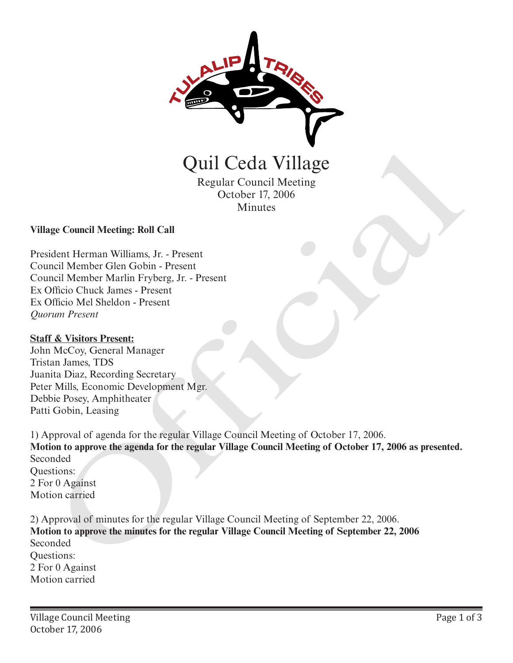

Quil Ceda Village

Regular Council Meeting October 17, 2006 Minutes

**Village Council Meeting: Roll Call** 

President Herman Williams, Jr. - Present Council Member Glen Gobin - Present Council Member Marlin Fryberg, Jr. - Present Ex Officio Chuck James - Present Ex Officio Mel Sheldon - Present *Quorum Present*

#### **Staff & Visitors Present:**

John McCoy, General Manager Tristan James, TDS Juanita Diaz, Recording Secretary Peter Mills, Economic Development Mgr. Debbie Posey, Amphitheater Patti Gobin, Leasing

1) Approval of agenda for the regular Village Council Meeting of October 17, 2006. **Motion to approve the agenda for the regular Village Council Meeting of October 17, 2006 as presented.** Seconded Questions: 2 For 0 Against Motion carried Quil Ceda Village<br>
Regular Council Meeting<br>
Regular Council Meeting<br>
economic Meeting: Radl Call<br>
dent Herman Williams, Jr. - Present<br>
meli Member Cilen Gobin - Present<br>
meli Member Cilen Gobin - Present<br>
meli Member Cilen

2) Approval of minutes for the regular Village Council Meeting of September 22, 2006. **Motion to approve the minutes for the regular Village Council Meeting of September 22, 2006**  Seconded Questions: 2 For 0 Against Motion carried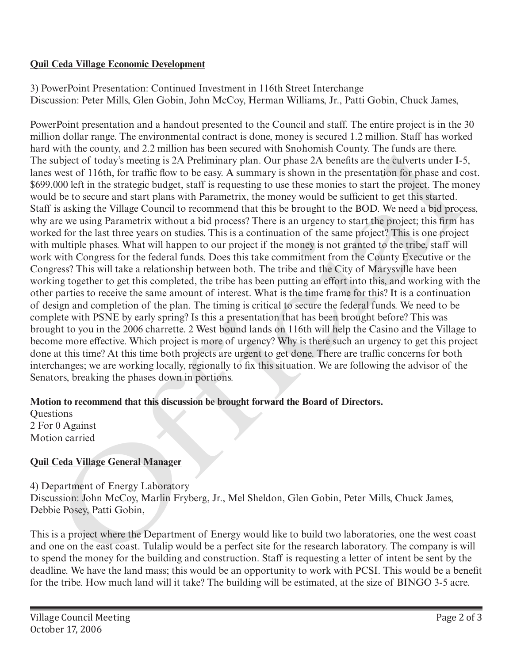### **Quil Ceda Village Economic Development**

3) PowerPoint Presentation: Continued Investment in 116th Street Interchange Discussion: Peter Mills, Glen Gobin, John McCoy, Herman Williams, Jr., Patti Gobin, Chuck James,

PowerPoint presentation and a handout presented to the Council and staff. The entire project is in the 30 million dollar range. The environmental contract is done, money is secured 1.2 million. Staff has worked hard with the county, and 2.2 million has been secured with Snohomish County. The funds are there. The subject of today's meeting is 2A Preliminary plan. Our phase 2A benefits are the culverts under I-5, lanes west of 116th, for traffic flow to be easy. A summary is shown in the presentation for phase and cost. \$699,000 left in the strategic budget, staff is requesting to use these monies to start the project. The money would be to secure and start plans with Parametrix, the money would be sufficient to get this started. Staff is asking the Village Council to recommend that this be brought to the BOD. We need a bid process, why are we using Parametrix without a bid process? There is an urgency to start the project; this firm has worked for the last three years on studies. This is a continuation of the same project? This is one project with multiple phases. What will happen to our project if the money is not granted to the tribe, staff will work with Congress for the federal funds. Does this take commitment from the County Executive or the Congress? This will take a relationship between both. The tribe and the City of Marysville have been working together to get this completed, the tribe has been putting an effort into this, and working with the other parties to receive the same amount of interest. What is the time frame for this? It is a continuation of design and completion of the plan. The timing is critical to secure the federal funds. We need to be complete with PSNE by early spring? Is this a presentation that has been brought before? This was brought to you in the 2006 charrette. 2 West bound lands on 116th will help the Casino and the Village to become more effective. Which project is more of urgency? Why is there such an urgency to get this project done at this time? At this time both projects are urgent to get done. There are traffic concerns for both interchanges; we are working locally, regionally to fix this situation. We are following the advisor of the Senators, breaking the phases down in portions. with the county, and 2.2 Million has been secture at win shondwish County. The timas are there.<br>Wiselet of today's meeting is 2A Preliminary plan. Our phase 2A benefits are the culverts under 1-<br>subject of 16day's meeting

# **Motion to recommend that this discussion be brought forward the Board of Directors.**

**Ouestions** 2 For 0 Against Motion carried

# **Quil Ceda Village General Manager**

4) Department of Energy Laboratory Discussion: John McCoy, Marlin Fryberg, Jr., Mel Sheldon, Glen Gobin, Peter Mills, Chuck James, Debbie Posey, Patti Gobin,

This is a project where the Department of Energy would like to build two laboratories, one the west coast and one on the east coast. Tulalip would be a perfect site for the research laboratory. The company is will to spend the money for the building and construction. Staff is requesting a letter of intent be sent by the deadline. We have the land mass; this would be an opportunity to work with PCSI. This would be a benefit for the tribe. How much land will it take? The building will be estimated, at the size of BINGO 3-5 acre.